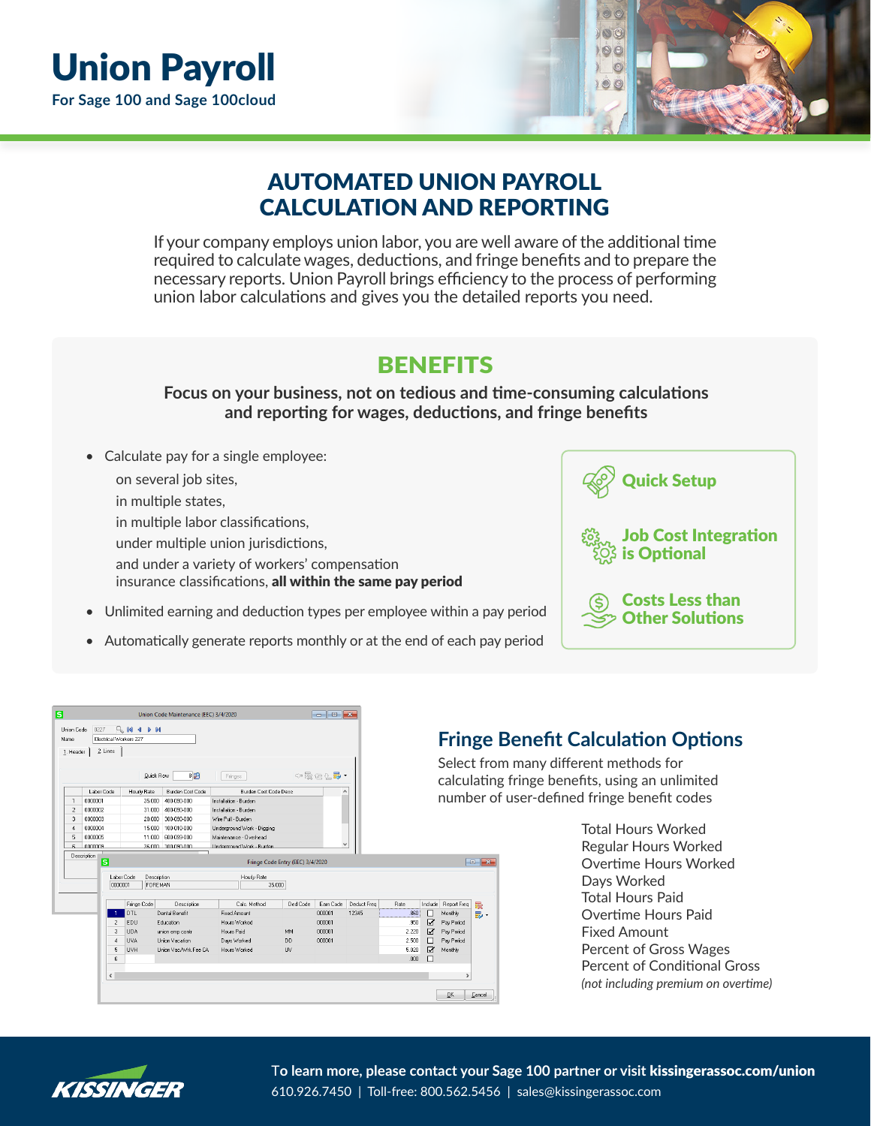

## AUTOMATED UNION PAYROLL CALCULATION AND REPORTING

If your company employs union labor, you are well aware of the additional time required to calculate wages, deductions, and fringe benefits and to prepare the necessary reports. Union Payroll brings efficiency to the process of performing union labor calculations and gives you the detailed reports you need.

## **BENEFITS**

**Focus on your business, not on tedious and time-consuming calculations and reporting for wages, deductions, and fringe benefits**

- Calculate pay for a single employee:
	- on several job sites,
	- in multiple states,
	- in multiple labor classifications,
	- under multiple union jurisdictions,
	- and under a variety of workers' compensation
	- insurance classifications, all within the same pay period
- Unlimited earning and deduction types per employee within a pay period
- Automatically generate reports monthly or at the end of each pay period



| Name<br>1. Header | Union Code<br>0227                                                         | 2. Lines       | 9.14<br><b>D</b> DI<br>◀<br>Electrical Workers 227 | $8$ $R$<br>Quick Row    | Fringes                                                   |          | $~\circ~\mathbb{R} \oplus \mathbb{Q}$ . |             |       |                 | <b>Fringe</b><br>Select fre<br>calculati |                |
|-------------------|----------------------------------------------------------------------------|----------------|----------------------------------------------------|-------------------------|-----------------------------------------------------------|----------|-----------------------------------------|-------------|-------|-----------------|------------------------------------------|----------------|
|                   | Labor Code                                                                 |                | Hourly Rate                                        | <b>Burden Cost Code</b> | Burden Cost Code Desc                                     |          | Α                                       |             |       |                 |                                          |                |
| $\mathbf{1}$      | 0000001                                                                    |                | 35.000                                             | 400-090-000             | Installation - Burden                                     |          |                                         |             |       |                 | number                                   |                |
| $\overline{c}$    | 0000002                                                                    |                | 31.000                                             | 400-090-000             | Installation - Burden                                     |          |                                         |             |       |                 |                                          |                |
| 3                 |                                                                            | 0000003        |                                                    | 20.000<br>300-090-000   | Wire Pull - Burden                                        |          |                                         |             |       |                 |                                          |                |
| 4                 | 0000004                                                                    |                |                                                    | 15.000 100-010-000      | Underground Work - Digging                                |          |                                         |             |       |                 |                                          |                |
| 5                 | 0000005                                                                    |                | 11.000                                             | 600-099-000             | Maintenance - Overhead                                    |          |                                         |             |       |                 |                                          |                |
| ß.                | nnnnns.                                                                    |                |                                                    | 36,000 100-090-000      | Linderground Work - Burden.                               |          | $\checkmark$                            |             |       |                 |                                          |                |
|                   | $\overline{\mathbf{s}}$<br>Labor Code<br>Description<br>0000001<br>FOREMAN |                |                                                    |                         | Fringe Code Entry (EEC) 3/4/2020<br>Hourly Rate<br>35.000 |          |                                         |             |       |                 |                                          | $\blacksquare$ |
|                   |                                                                            |                | Fringe Code                                        | Description             | Calc. Method                                              | Ded Code | Earn Code                               | Deduct Freq | Rate  | Include         | Report Freq                              | 驟              |
|                   |                                                                            |                | DTL                                                | Dental Benefit          | Fixed Amount                                              |          | 000001                                  | 12345       | .860  | □               | Monthly                                  | <b>昆</b> ・     |
|                   |                                                                            | $\overline{c}$ | EDU                                                | Education               | Hours Worked                                              |          | 000001                                  |             | .950  | ☑               | Pay Period                               |                |
|                   |                                                                            | 3              | <b>UDA</b>                                         | union emp contr         | Hours Paid                                                | MM       | 000001                                  |             | 2.220 | ☑               | Pay Period                               |                |
|                   |                                                                            | 4              | <b>UVA</b>                                         | Union Vacation          | Days Worked                                               | DD.      | 000001                                  |             | 2500  | $\Box$          | Pay Period                               |                |
|                   |                                                                            | 5              | <b>UVH</b>                                         | Union Vac/Wrk Fee CA    | Hours Worked                                              | UV.      |                                         |             | 5.020 | $\triangledown$ | Monthly                                  |                |
|                   |                                                                            | 6              |                                                    |                         |                                                           |          |                                         |             | .000  | $\Box$          |                                          |                |
|                   |                                                                            |                |                                                    |                         |                                                           |          |                                         |             |       |                 |                                          |                |
|                   |                                                                            | $\epsilon$     |                                                    |                         |                                                           |          |                                         |             |       |                 | $\rightarrow$                            |                |

## **Benefit Calculation Options**

O)  $\circ$  $00$  $\circ$  $00$ 

om many different methods for ng fringe benefits, using an unlimited of user-defined fringe benefit codes

> Total Hours Worked Regular Hours Worked Overtime Hours Worked Days Worked Total Hours Paid Overtime Hours Paid Fixed Amount Percent of Gross Wages Percent of Conditional Gross *(not including premium on overtime)*



T**o learn more, please contact your Sage 100 partner or visit** kissingerassoc.com/union 610.926.7450 | Toll-free: 800.562.5456 | sales@kissingerassoc.com